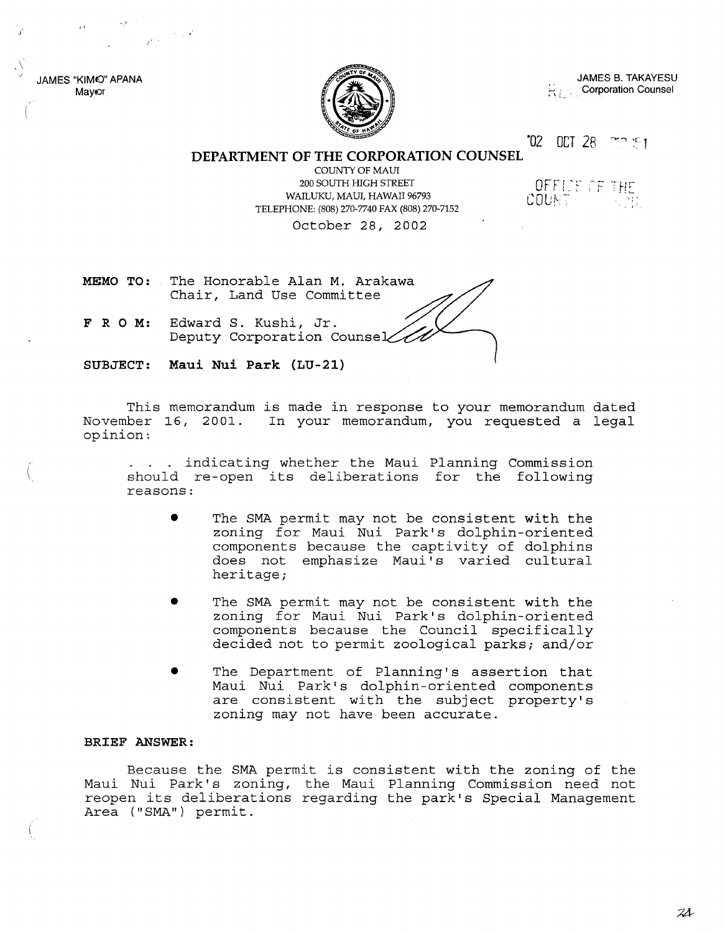JAMES "KIM©" APANA Mayor

"

 $\lambda$ 



JAMES B. TAKAYESU ~, *i...* Corporation Counsel

·02 OCT 28

OFFICE OF THE

COUNT-

**DEPARTMENT OF THE CORPORATION COUNSEL**

COUNTY OF MAUl 200 SOUTH HIGH STREET WAILUKU, MAUl, HAWAII 96793 TELEPHONE: (808) 270-7740 FAX (808) 270-7152 October 28, 2002

**MEMO TO:** The Honorable Alan M. Arakawa Chair, Land Use Committee

**FRO M:** Edward S. Kushi, Jr. Deputy Corporation Counse

**SUBJECT: Maui Nui Park (LU-21)**

This memorandum is made in response to your memorandum dated November 16, 2001. In your memorandum, you requested a legal opinion:

. . . indicating whether the Maui Planning Commission should re-open its deliberations for the following reasons:

- The SMA permit may not be consistent with the zoning for Maui Nui Park's dolphin-oriented components because the captivity of dolphins does not emphasize Maui's varied cultural heritage;
- The SMA permit may not be consistent with the zoning for Maui Nui Park's dolphin-oriented components because the Council specifically decided not to permit zoological parks; and/or
- The Department of Planning's assertion that Maui Nui Park is dolphin-oriented components are consistent with the subject property's zoning may not have been accurate.

#### **BRIEF ANSWER:**

Because the SMA permit is consistent with the zoning of the Maui Nui Park's zoning, the Maui Planning Commission need not reopen its deliberations regarding the park's Special Management Area ("SMA") permit.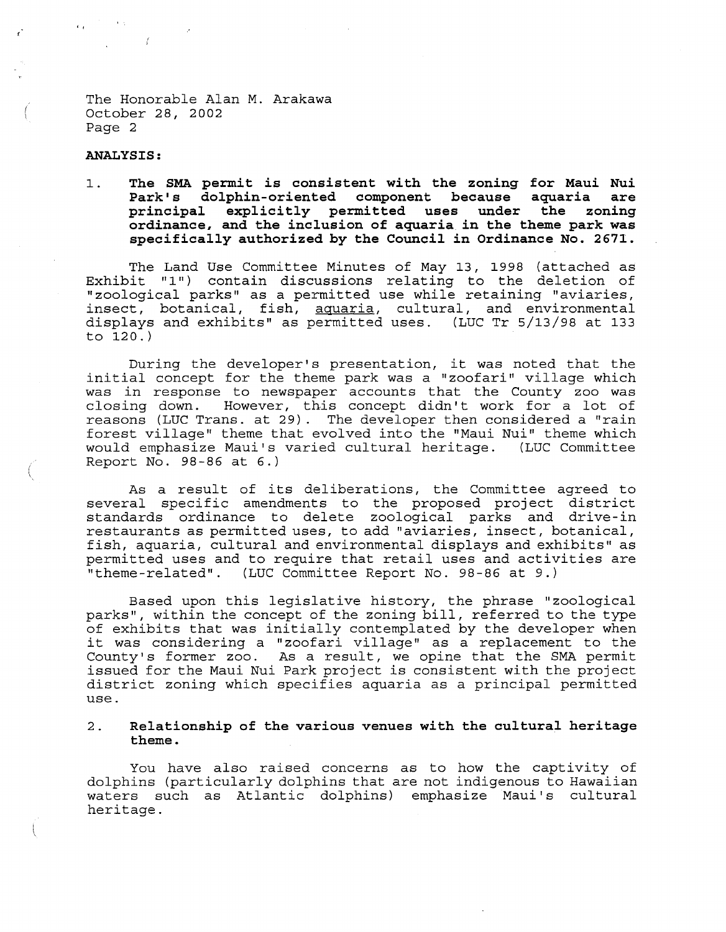The Honorable Alan M. Arakawa October 28, 2002 Page 2

#### **ANALYSIS:**

, ,

1. **The SMA permit** *is* **consistent with the zoning for Maui Nui Park <sup>I</sup> s dolphin-oriented component because aquaria are principal explicitly permitted uses under the zoning ordinance, and the inclusion of aquaria** *in* **the theme park was specifically authorized by the Council** *in* **Ordinance No. 2671.**

The Land Use Committee Minutes of May 13, 1998 (attached as Exhibit "1") contain discussions relating to the deletion of "zoological parks" as a permitted use while retaining "aviaries, insect, botanical, fish, aquaria, cultural, and environmental displays and exhibits" as permitted uses. (LUC Tr 5/13/98 at 133 to 120.)

During the developer's presentation, it was noted that the initial concept for the theme park was <sup>a</sup> "zoofari" village which was in response to newspaper accounts that the County zoo was closing down. However, this concept didn't work for a lot of reasons (LUC Trans. at 29). The developer then considered a "rain forest village" theme that evolved into the "Maui Nui" theme which would emphasize Maui's varied cultural heritage. (LUC Committee Report No. 98-86 at 6.)

As <sup>a</sup> result of its deliberations, the Committee agreed to several specific amendments to the proposed project district standards ordinance to delete zoological parks and drive-in restaurants as permitted uses, to add "aviaries, insect, botanical, fish, aquaria, cultural and environmental displays and exhibits" as permitted uses and to require that retail uses and activities are "theme-related". (LUC Committee Report No. 98-86 at 9.)

Based upon this legislative history, the phrase "zoological parks", within the concept of the zoning bill, referred to the type of exhibits that was initially contemplated by the developer when it was considering <sup>a</sup> "zoofari village" as <sup>a</sup> replacement to the County's former zoo. As a result, we opine that the SMA permit issued for the Maui Nui Park project is consistent with the project district zoning which specifies aquaria as <sup>a</sup> principal permitted use.

#### 2. **Relationship of the various venues with the cultural heritage theme.**

You have also raised concerns as to how the captivity of dolphins (particularly dolphins that are not indigenous to Hawaiian waters such as Atlantic dolphins) emphasize Maui's cultural heritage.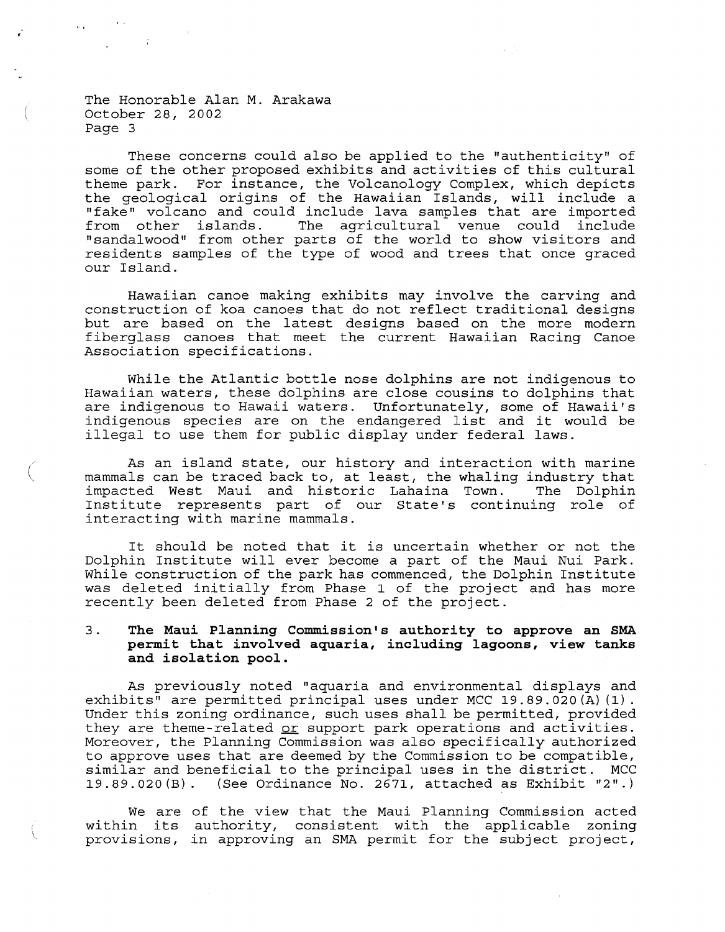The Honorable Alan M. Arakawa ( October 28, 2002 Page 3

These concerns could also be applied to the "authenticity" of some of the other proposed exhibits and activities of this cultural theme park. For instance, the Volcanology Complex, which depicts the geological origins of the Hawaiian Islands, will include a "fake" volcano and could include lava samples that are imported from other islands. The agricultural venue could include from other islands. The agricultural venue could include<br>"sandalwood" from other parts of the world to show visitors and residents samples of the type of wood and trees that once graced our Island.

Hawaiian canoe making exhibits may involve the carving and construction of koa canoes that do not reflect traditional designs but are based on the latest designs based on the more modern fiberglass canoes that meet the current Hawaiian Racing Canoe Association specifications.

While the Atlantic bottle nose dolphins are not indigenous to Hawaiian waters, these dolphins are close cousins to dolphins that are indigenous to Hawaii waters. Unfortunately, some of Hawaii's indigenous species are on the endangered list and it would be illegal to use them for public display under federal laws.

As an island state, our history and interaction with marine mammals can be traced back to, at least, the whaling industry that impacted West Maui and historic Lahaina Town. The Dolphin Institute represents part of our State's continuing role of interacting with marine mammals.

It should be noted that it is uncertain whether or not the Dolphin Institute will ever become <sup>a</sup> part of the Maui Nui Park. While construction of the park has commenced, the Dolphin Institute was deleted initially from Phase <sup>1</sup> of the project and has more recently been deleted from Phase 2 of the project.

#### 3. **The Maui Planning Commission's authority to approve an SMA per.mit that involved aquaria, including lagoons, view tanks and isolation pool.**

As previously noted "aquaria and environmental displays and exhibits" are permitted principal uses under MCC 19.89.020(A) (1). Under this zoning ordinance, such uses shall be permitted, provided they are theme-related or support park operations and activities. Moreover, the Planning Commission was also specifically authorized to approve uses that are deemed by the Commission to be compatible, similar and beneficial to the principal uses in the district. MCC 19.89.020(B). (See Ordinance No. 2671, attached as Exhibit "2".)

We are of the view that the Maui Planning Commission acted within its authority, consistent with the applicable zoning provisions, in approving an SMA permit for the subject project,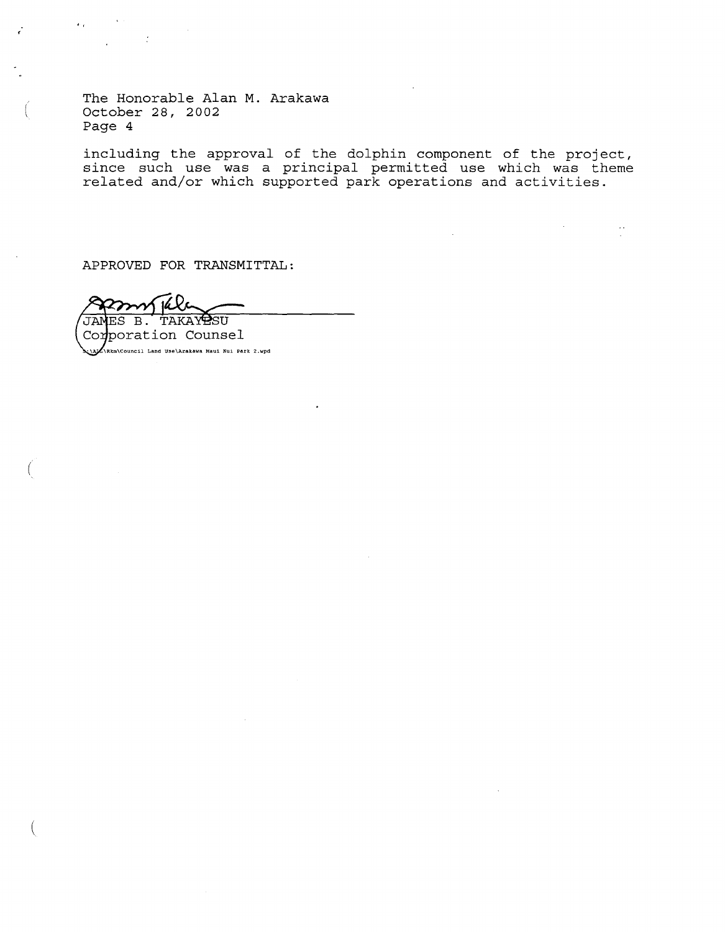The Honorable Alan M. Arakawa October 28, 2002 Page 4

(

.,

(

(

including the approval of the dolphin component of the project, since such use was a principal permitted use which was theme related and/or which supported park operations and activities.

APPROVED FOR TRANSMITTAL:

JAMES B. **TAKAY PSU** Corporation Counsel -\ **\Rkrn\Council Land U:Je\Arakawa Maui Nui Park 2.wpd**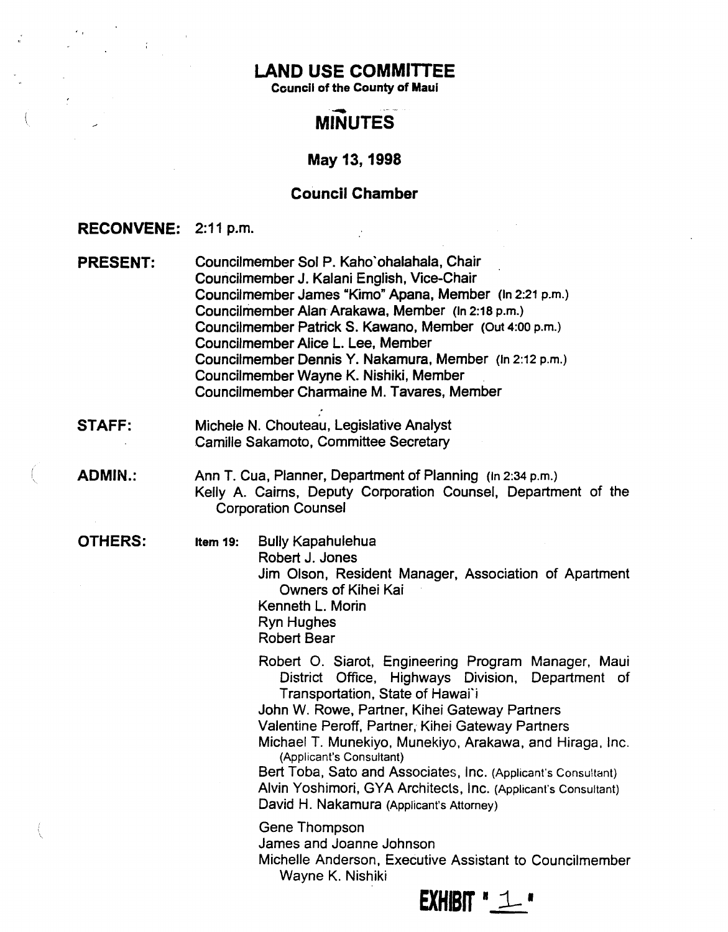# LAND USE COMMITTEE

, ,

 $\frac{1}{n}$ 

 $\label{eq:1} \frac{1}{\sqrt{2\pi}}\int_{0}^{\infty}\frac{d\mu}{\sqrt{2\pi}}\,d\mu\int_{0}^{\infty}\frac{d\mu}{\sqrt{2\pi}}\,d\mu\int_{0}^{\infty}\frac{d\mu}{\sqrt{2\pi}}\,d\mu\int_{0}^{\infty}\frac{d\mu}{\sqrt{2\pi}}\,d\mu\int_{0}^{\infty}\frac{d\mu}{\sqrt{2\pi}}\,d\mu\int_{0}^{\infty}\frac{d\mu}{\sqrt{2\pi}}\,d\mu\int_{0}^{\infty}\frac{d\mu}{\sqrt{2\pi}}\,d\mu\int_{0}$ 

Council of the County of Maul

# **MINUTES**

# May 13,1998

# Council Chamber

| RECONVENE: 2:11 p.m. |                                                                                                                                                                                                                                                                                                                                                                                                                                                                                                                           |  |  |  |  |  |
|----------------------|---------------------------------------------------------------------------------------------------------------------------------------------------------------------------------------------------------------------------------------------------------------------------------------------------------------------------------------------------------------------------------------------------------------------------------------------------------------------------------------------------------------------------|--|--|--|--|--|
| <b>PRESENT:</b>      | Councilmember Sol P. Kaho'ohalahala, Chair<br>Councilmember J. Kalani English, Vice-Chair<br>Councilmember James "Kimo" Apana, Member (In 2:21 p.m.)<br>Councilmember Alan Arakawa, Member (In 2:18 p.m.)<br>Councilmember Patrick S. Kawano, Member (Out 4:00 p.m.)<br>Councilmember Alice L. Lee, Member<br>Councilmember Dennis Y. Nakamura, Member (In 2:12 p.m.)<br>Councilmember Wayne K. Nishiki, Member<br>Councilmember Charmaine M. Tavares, Member                                                             |  |  |  |  |  |
| <b>STAFF:</b>        | Michele N. Chouteau, Legislative Analyst<br>Camille Sakamoto, Committee Secretary                                                                                                                                                                                                                                                                                                                                                                                                                                         |  |  |  |  |  |
| <b>ADMIN.:</b>       | Ann T. Cua, Planner, Department of Planning (in 2:34 p.m.)<br>Kelly A. Cairns, Deputy Corporation Counsel, Department of the<br><b>Corporation Counsel</b>                                                                                                                                                                                                                                                                                                                                                                |  |  |  |  |  |
| <b>OTHERS:</b>       | <b>Bully Kapahulehua</b><br>Item 19:<br>Robert J. Jones<br>Jim Olson, Resident Manager, Association of Apartment<br>Owners of Kihei Kai<br>Kenneth L. Morin<br><b>Ryn Hughes</b><br><b>Robert Bear</b>                                                                                                                                                                                                                                                                                                                    |  |  |  |  |  |
|                      | Robert O. Siarot, Engineering Program Manager, Maui<br>District Office, Highways Division, Department of<br>Transportation, State of Hawai'i<br>John W. Rowe, Partner, Kihei Gateway Partners<br>Valentine Peroff, Partner, Kihei Gateway Partners<br>Michael T. Munekiyo, Munekiyo, Arakawa, and Hiraga, Inc.<br>(Applicant's Consultant)<br>Bert Toba, Sato and Associates, Inc. (Applicant's Consultant)<br>Alvin Yoshimori, GYA Architects, Inc. (Applicant's Consultant)<br>David H. Nakamura (Applicant's Attorney) |  |  |  |  |  |
|                      | <b>Gene Thompson</b><br>James and Joanne Johnson<br>Michelle Anderson, Executive Assistant to Councilmember<br>Wayne K. Nishiki                                                                                                                                                                                                                                                                                                                                                                                           |  |  |  |  |  |

 $EXHIBIT "1"$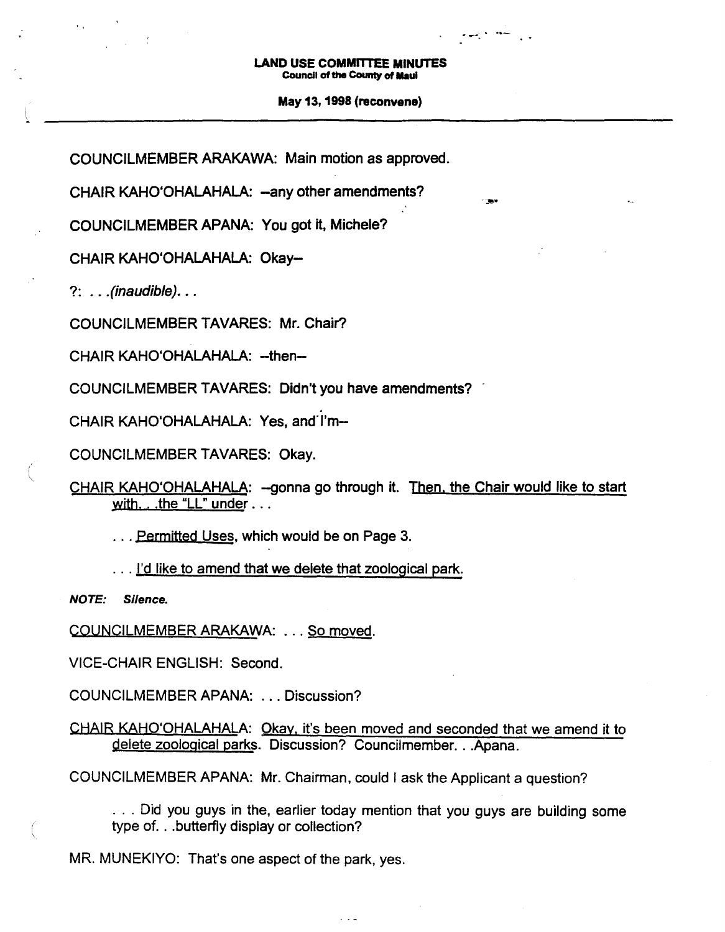$\overline{\phantom{a}}$  . ...

.:....

#### May 13, 1998 (reconvene)

COUNCILMEMBER ARAKAWA: Main motion as approved.

CHAIR KAHO'OHALAHALA: - any other amendments?

COUNCILMEMBER APANA: You got it, Michele?

CHAIR KAHO'OHALAHALA: Okay-

?: .. *.*(inaudible). ..

COUNCILMEMBER TAVARES: Mr. Chair?

CHAIR KAHO'OHALAHALA: -- then--

COUNCILMEMBER TAVARES: Didn't you have amendments?

. CHAIR KAHO'OHALAHALA: Yes, and'I'm-

COUNCILMEMBER TAVARES: Okay.

CHAIR KAHO'OHALAHALA: - gonna go through it. Then, the Chair would like to start with... .the "LL" under ...

... Permitted Uses, which would be on Page 3.

... I'd like to amend that we delete that zoological park.

NOTE: Silence.

 $\big($ 

COUNCILMEMBER ARAKAWA: . . . So moved.

VICE-CHAIR ENGLISH: Second.

COUNCILMEMBER APANA: ... Discussion?

CHAIR KAHO'OHALAHALA: Okay. it's been moved and seconded that we amend it to delete zoological parks. Discussion? Councilmember...Apana.

 $\sim$   $\sim$   $\sim$ 

COUNCILMEMBER APANA: Mr. Chairman, could I ask the Applicant a question?

.. , Did you guys in the, earlier today mention that you guys are building some type of...butterfly display or collection?

MR. MUNEKIYO: That's one aspect of the park, yes.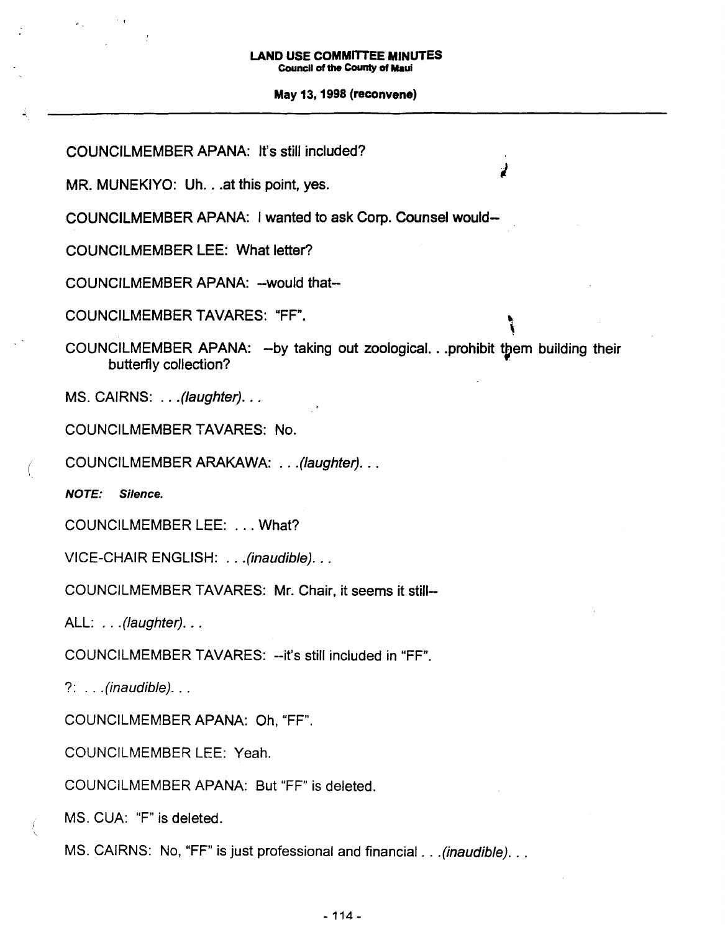, 1

#### May 13, 1998 (reconvene)

COUNCILMEMBER TAVARES: "FF". COUNCILMEMBER APANA: -would that-COUNCILMEMBER LEE: What letter? COUNCILMEMBER APANA: It's still included? MR. MUNEKIYO: Uh...at this point, yes. COUNCILMEMBER APANA: I wanted to ask Corp. Counsel would- , COUNCILMEMBER APANA: -by taking out zoological. ..prohibit tpem building their butterfly collection? . MS. CAIRNS: ...(laughter)... COUNCILMEMBER TAVARES: No. ( COUNCILMEMBER ARAKAWA: ., .(Iaughter). .. NOTE: Silence. COUNCILMEMBER LEE: ... What? VICE-CHAIR ENGLISH: .. .(inaudible). .. COUNCILMEMBER TAVARES: Mr. Chair, it seems it still-ALL: . . . (laughter). . . COUNCILMEMBER TAVARES: --it's still included in "FF".  $?: . . . (inaudible). . .$ COUNCILMEMBER APANA: Oh, "FF". COUNCILMEMBER LEE: Yeah. COUNCILMEMBER APANA: But "FF" is deleted. MS. CUA: "F" is deleted. MS. CAIRNS: No, "FF" is just professional and financial . . . (inaudible). . .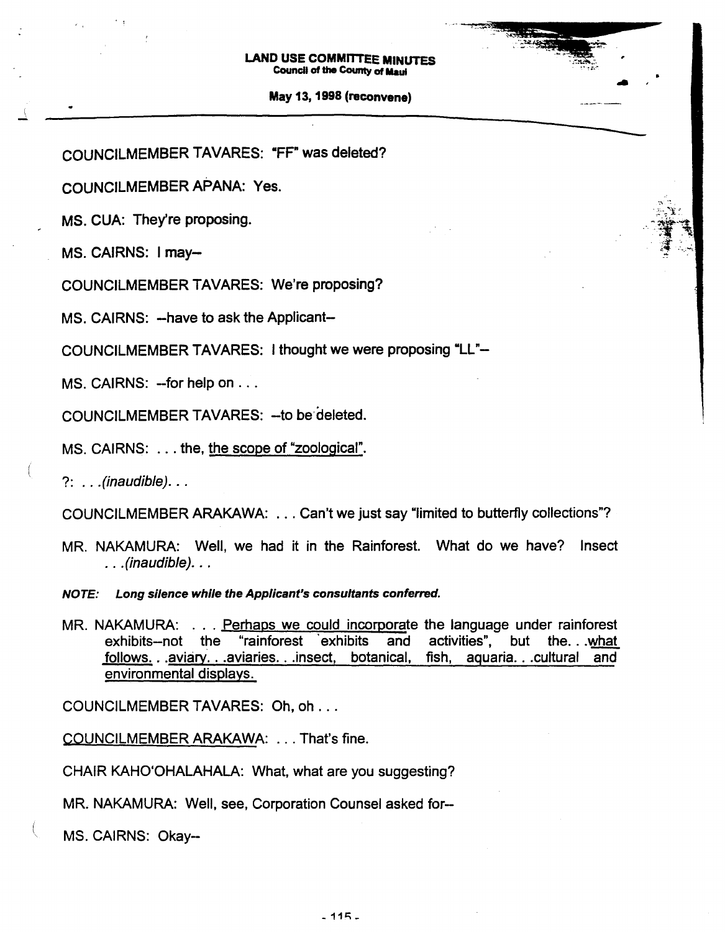#### May 13,1998 (reconvene)

..

----

COUNCILMEMBER TAVARES: "FF" was deleted?

COUNCILMEMBER APANA: Yes.

MS. CUA: They're proposing.

MS. CAIRNS: I may-

, t

J.

COUNCILMEMBER TAVARES: We're proposing?

MS. CAIRNS: --have to ask the Applicant--

COUNCILMEMBER TAVARES: I thought we were proposing "LL"-

MS. CAIRNS: -- for help on . . .

COUNCILMEMBER TAVARES: -- to be deleted.

MS. CAIRNS: .. , the, the scope of "zoological".

?: ...(inaudible). ..

COUNCILMEMBER ARAKAWA: ... Can't we just say "limited to butterfly collections"?

MR. NAKAMURA: Well, we had it in the Rainforest. What do we have? Insect .. .(inaudible). ..

NOTE: Long silence while the Applicant's consultants conferred.

MR. NAKAMURA: . . . Perhaps we could incorporate the language under rainforest<br>exhibits-not the "rainforest exhibits and activities", but the what follows...aviary...aviaries...insect, botanical, fish, aquaria...cultural and environmental displays.

COUNCILMEMBER TAVARES: Oh, oh ...

COUNCILMEMBER ARAKAWA: ... That's fine.

CHAIR KAHO'OHALAHALA: What, what are you suggesting?

MR. NAKAMURA: Well, see, Corporation Counsel asked for-

MS. CAIRNS: Okay--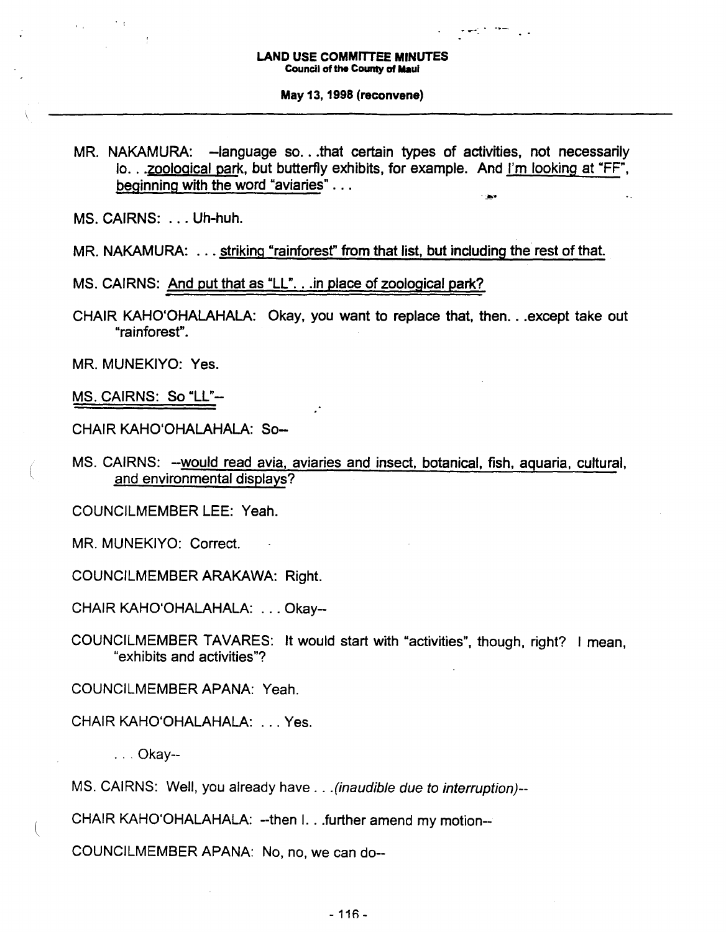·.,.."

 $\cdot$  .

#### May 13,1998 (reconvene)

MR. NAKAMURA: -language so...that certain types of activities, not necessarily 10•.•zoological park, but butterfly exhibits, for example. And I'm looking at "FF", beginning with the word "aviaries" ...

MS. CAIRNS: ... Uh-huh.

MR. NAKAMURA: . . . striking "rainforest" from that list, but including the rest of that.

MS. CAIRNS: And put that as "LL". . .in place of zoological park?

CHAIR KAHO'OHALAHALA: Okay, you want to replace that, then... except take out "rainforest".

MR. MUNEKIYO: Yes.

MS. CAIRNS: So "LL"-

(

CHAIR KAHO'OHALAHALA: So-

MS. CAIRNS: --would read avia, aviaries and insect, botanical, fish, aquaria, cultural, and environmental displays?

COUNCILMEMBER LEE: Yeah.

MR. MUNEKIYO: Correct.

COUNCILMEMBER ARAKAWA: Right.

CHAIR KAHO'OHALAHALA: ... Okay-

COUNCILMEMBER TAVARES: It would start with "activities", though, right? I mean, "exhibits and activities"?

COUNCILMEMBER APANA: Yeah.

CHAIR KAHO'OHALAHALA: ... Yes.

. . . Okay--

MS. CAIRNS: Well, you already have . . . (inaudible due to interruption)--

CHAIR KAHO'OHALAHALA: --then I.. .further amend my motion--

COUNCILMEMBER APANA: No, no, we can do--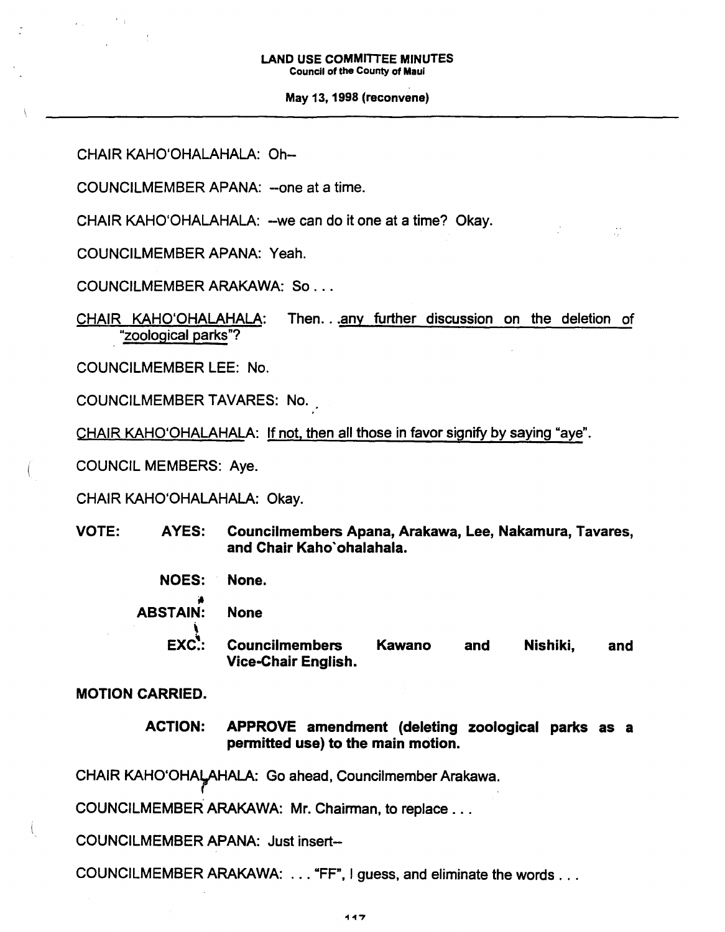May 13,1998 (reconvene)

CHAIR KAHO'OHALAHALA: Oh-

COUNCILMEMBER APANA: -one at a time.

CHAIR KAHO'OHALAHALA: -we can do it one at a time? Okay.

COUNCILMEMBER APANA: Yeah.

COUNCILMEMBER ARAKAWA: So ...

CHAIR KAHO'OHALAHALA: Then...any further discussion on the deletion of . "zoological parks"?

COUNCILMEMBER LEE: No.

COUNCILMEMBER TAVARES: No.

CHAIR KAHO'OHALAHALA: If not, then all those in favor signify by saying "aye".

COUNCIL MEMBERS: Aye.

CHAIR KAHO'OHALAHALA: Okay.

- VOTE: AYES: Councilmembers Apana, Arakawa, Lee, Nakamura, Tavares, and Chair Kaho'ohalahala.
	- NOES: None.
		-
	- ABSTAIN: None
		- \  $EXC$ : Councilmembers Kawano Vice-Chair English. and Nishiki, and

MOTION CARRIED.

ACTION: APPROVE amendment (deleting zoological parks as a permitted use) to the main motion.

CHAIR KAHO'OHALAHALA: Go ahead, Councilmember Arakawa.

COUNCILMEMBER ARAKAWA: Mr. Chairman, to replace ...

COUNCILMEMBER APANA: Just insert-

COUNCILMEMBER ARAKAWA: ... "FF", <sup>I</sup> guess, and eliminate the words ...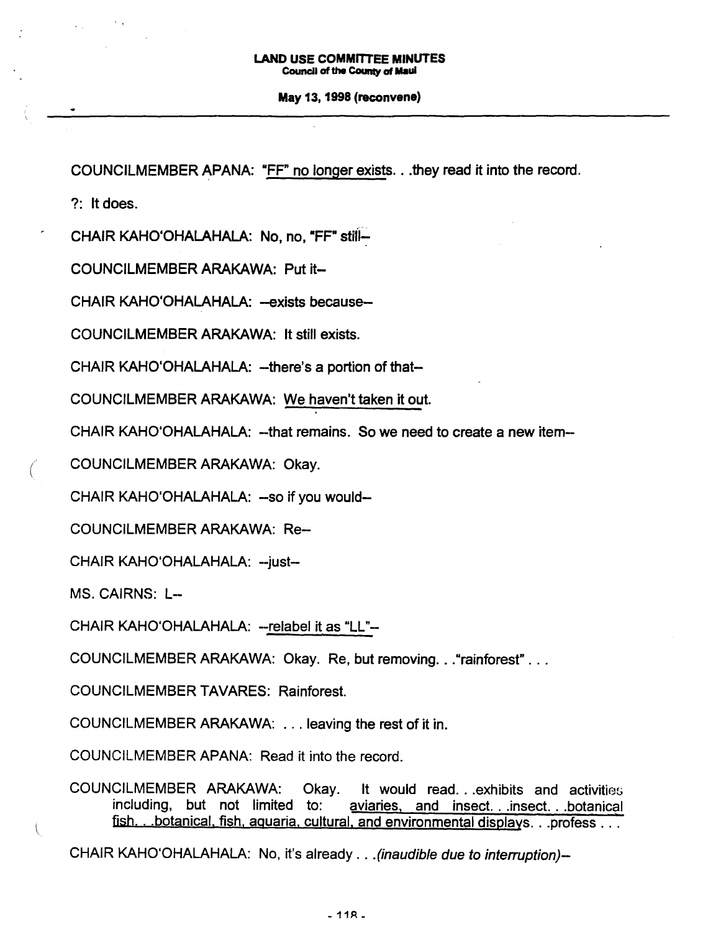#### May 13, 1998 (reconvene)

COUNCllMEMBER APANA: "FF" no longer exists...they read it into the record.

?: It does.

CHAIR KAHO'OHALAHALA: No, no, "FF" stiii~

COUNCllMEMBER ARAKAWA: Put it-

CHAIR KAHO'OHALAHALA: -exists because-

COUNCllMEMBER ARAKAWA: It still exists.

CHAIR KAHO'OHALAHALA: --there's a portion of that-

COUNCllMEMBER ARAKAWA: We haven't taken it out.

CHAIR KAHO'OHALAHALA: -that remains. So we need to create a new item-

( COUNCllMEMBER ARAKAWA: Okay.

CHAIR KAHO'OHALAHALA: -so if you would-

COUNCllMEMBER ARAKAWA: Re-

CHAIR KAHO'OHALAHALA: -- just--

MS. CAIRNS: L-

CHAIR KAHO'OHALAHALA: -- relabel it as "LL"--

COUNCllMEMBER ARAKAWA: Okay. Re, but removing..."rainforest" ...

COUNCllMEMBER TAVARES: Rainforest.

COUNCllMEMBER ARAKAWA: ... leaving the rest of it in.

COUNCILMEMBER APANA: Read it into the record.

COUNCILMEMBER ARAKAWA: Okay. It would read...exhibits and activities including, but not limited to: aviaries, and insect. . .insect. ..botanical fish. ..botanical. fish. aquaria. cultural. and environmental displays...profess...

CHAIR KAHO'OHALAHAlA: No, it's already .. .(inaudible due to interruption)-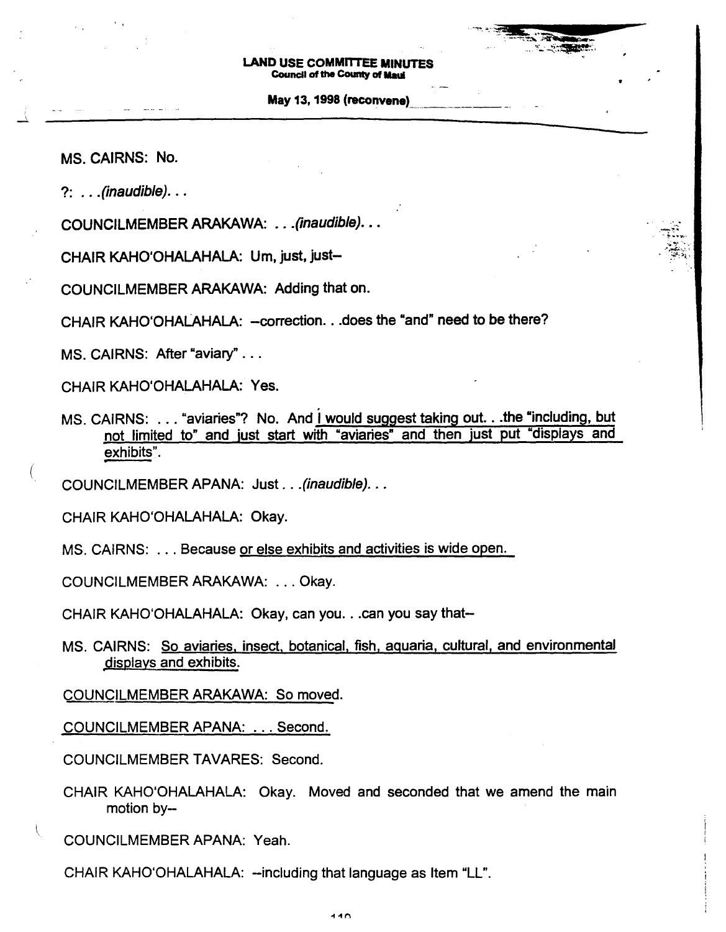May 13, 1998 (reconvene)

;~~-, .?- ...... ~. -:~i:~i:

MS. CAIRNS: No.

?: .. *.*(inaudible). ..

COUNCILMEMBER ARAKAWA: ... (inaudible)...

CHAIR KAHO'OHALAHALA: Um, just, just-

COUNCllMEMBER ARAKAWA: Adding that on.

CHAIR KAHO'OHALAHALA: - correction. . . does the "and" need to be there?

MS. CAIRNS: After "aviary" ...

CHAIR KAHO'OHALAHALA: Yes.

MS. CAIRNS: . . . "aviaries"? No. And I would suggest taking out. . . the "including, but not limited to" and just start with "aviaries" and then just put "displays and exhibits".

COUNCllMEMBER APANA: Just .. .(inaudible). ..

CHAIR KAHO'OHALAHALA: Okay.

MS. CAIRNS: .,. Because or else exhibits and activities is wide open.

COUNCllMEMBER ARAKAWA: ... Okay.

CHAIR KAHO'OHALAHALA: Okay, can you...can you say that-

MS. CAIRNS: So aviaries, insect, botanical, fish, aquaria, cultural, and environmental displays and exhibits.

COUNCllMEMBER ARAKAWA: So moved.

COUNCllMEMBER APANA: ... Second.

COUNCllMEMBER TAVARES: Second.

CHAIR KAHO'OHALAHALA: Okay. Moved and seconded that we amend the main motion by-

COUNCllMEMBER APANA: Yeah.

CHAIR KAHO'OHALAHALA: --including that language as Item "LL".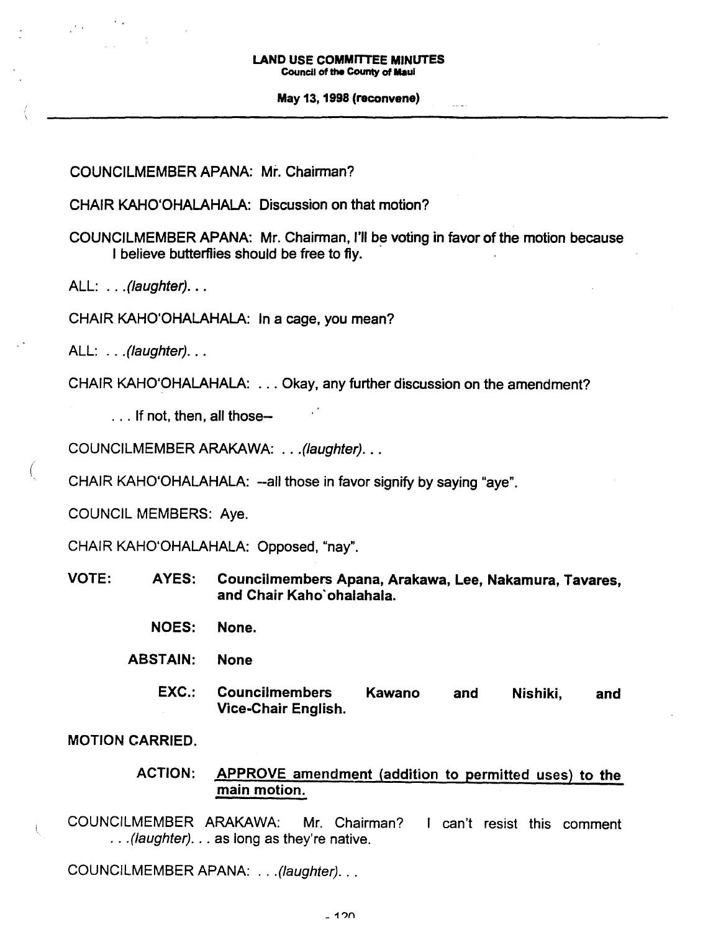#### May 13, 1998 (reconvene)

المتمام

COUNCILMEMBER APANA: Mr. Chairman?

CHAIR KAHO'OHALAHALA: Discussion on that motion?

COUNCILMEMBER APANA: Mr. Chairman, I'll be voting in favor of the motion because I believe butterflies should be free to fly.

ALL: . . . (laughter). . .

CHAIR KAHO'OHALAHALA: In a cage, you mean?

 $ALL:$   $\ldots$  (laughter).  $\ldots$ 

(

CHAIR KAHO'OHALAHALA: ... Okay, any further discussion on the amendment?

. . . If not, then, all those-

COUNCILMEMBER ARAKAWA: .. .(Iaughter). ..

CHAIR KAHO'OHALAHALA: --all those in favor signify by saying "aye".

COUNCIL MEMBERS: Aye.

CHAIR KAHO'OHALAHALA: Opposed, "nay".

- VOTE: AYES: Councilmembers Apana, Arakawa, Lee, Nakamura, Tavares, and Chair Kaho'ohalahala.
	- NOES: None.
	- ABSTAIN: None
		- EXC.: Councilmembers Kawano Vice-Chair English. and Nishiki, and

MOTION CARRIED.

## ACTION: APPROVE amendment (addition to permitted uses) to the main motion.

COUNCILMEMBER ARAKAWA: Mr. Chairman? I can't resist this comment .. .(Iaughter). .. as long as they're native.

COUNCILMEMBER APANA: .. .(laughter). ..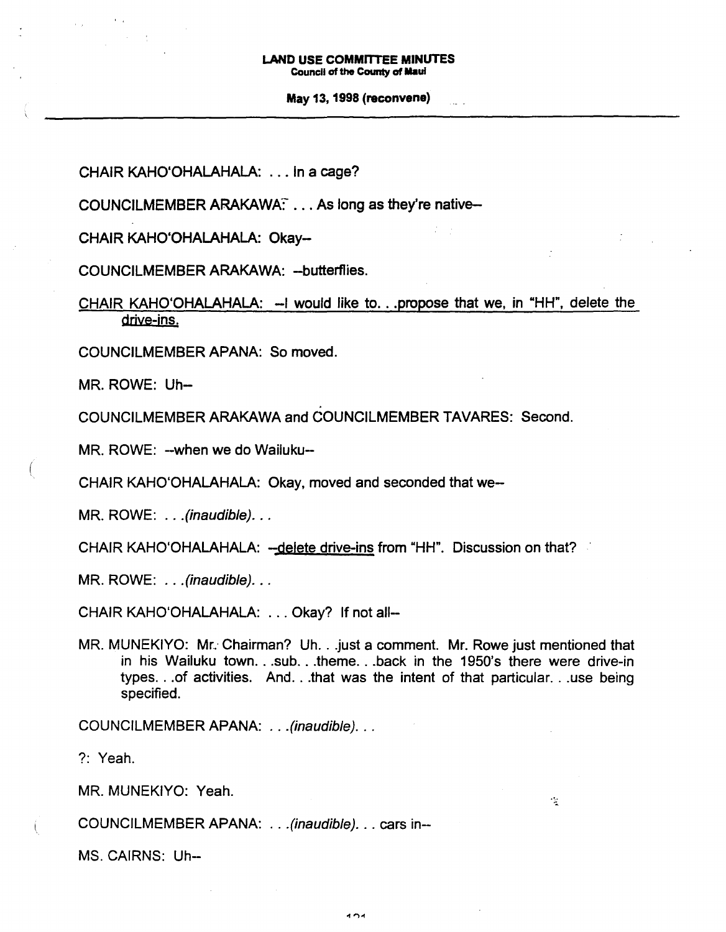May 13,1998 (reconvene)

CHAIR KAHO'OHALAHALA: ... in a cage?

COUNCILMEMBER ARAKAWA: ... As long as they're native-

CHAIR KAHO'OHALAHALA: Okay-

COUNCILMEMBER ARAKAWA: -butterflies.

CHAIR KAHO'OHALAHALA: -I would like to...propose that we, in "HH", delete the drive-ins.

COUNCILMEMBER APANA: So moved.

MR. ROWE: Uh-

COUNCILMEMBER ARAKAWA and COUNCILMEMBER TAVARES: Second.

MR. ROWE: -- when we do Wailuku--

CHAIR KAHO'OHALAHALA: Okay, moved and seconded that we-

 $MR. ROWE:$  ...(inaudible)...

CHAIR KAHO'OHALAHALA: --delete drive-ins from "HH". Discussion on that?

MR. ROWE: . . . (inaudible). . .

CHAIR KAHO'OHALAHALA: ... Okay? If not all--

MR. MUNEKIYO: Mr: Chairman? Uh...just <sup>a</sup> comment. Mr. Rowe just mentioned that in his Wailuku town...sub...theme...back in the 1950's there were drive-in types...of activities. And...that was the intent of that particular...use being specified.

COUNCILMEMBER APANA: ...(inaudible). ..

?: Yeah.

MR. MUNEKIYO: Yeah.

COUNCILMEMBER APANA: ...(inaudible). .. cars in-

MS. CAIRNS: Uh-

 $\mathcal{L}$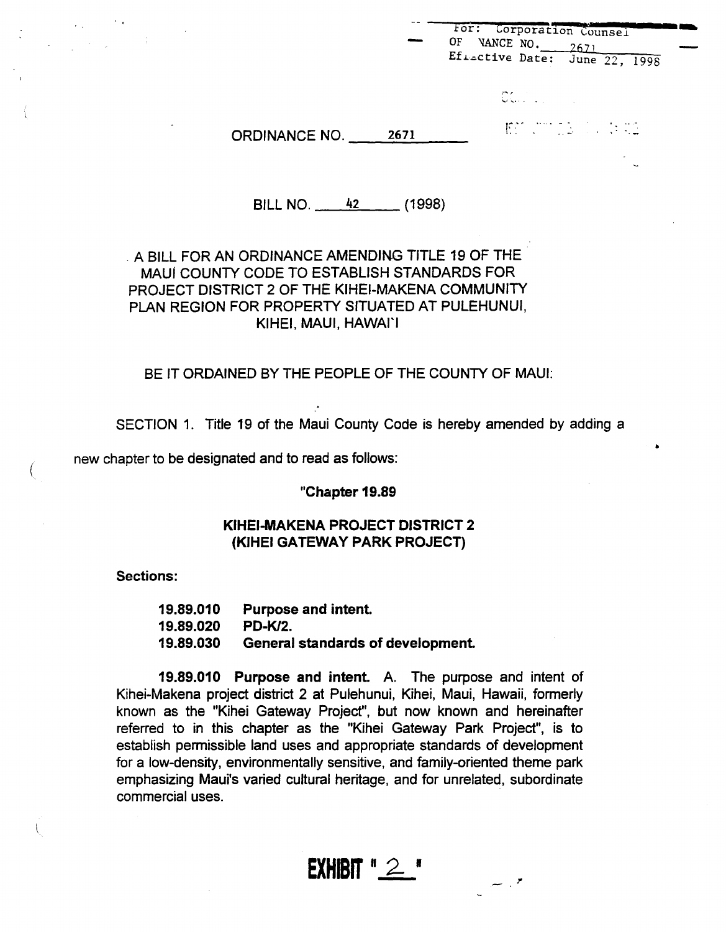|                      |      | For: Corporation Counsel<br>0F<br>VANCE NO. 2671<br>Ef <sub>isctive</sub> Date: June 22, 1998 |
|----------------------|------|-----------------------------------------------------------------------------------------------|
|                      |      | <b>CONTRACTOR</b>                                                                             |
| <b>ORDINANCE NO.</b> | 2671 | EST CONSIGNORES                                                                               |
|                      |      | ∼                                                                                             |

BILL NO. 42 (1998)

## . A BILL FOR AN ORDINANCE AMENDING TITLE 19 OF THE MAUl COUNTY CODE TO ESTABLISH STANDARDS FOR PROJECT DISTRICT 2 OF THE KIHEI-MAKENA COMMUNITY PLAN REGION FOR PROPERTY SITUATED AT PULEHUNUI, KIHEI, MAUl, HAWAI'I

## BE IT ORDAINED BY THE PEOPLE OF THE COUNTY OF MAUl:

SECTION 1. Title 19 of the Maui County Code is hereby amended by adding a

• new chapter to be designated and to read as follows:

"Chapter 19.89

### KIHEI-MAKENA PROJECT DISTRICT 2 (KIHEI GATEWAY PARK PROJECT)

Sections:

(

19.89.010 19.89.020 19.89.030 Purpose and intent PD-Kl2. General standards of development

19.89.010 Purpose and intent A. The purpose and intent of Kihei-Makena project district 2 at Pulehunui, Kihei, Maui, Hawaii, formerly known as the "Kihei Gateway Project", but now known and hereinafter referred to in this chapter as the "Kihei Gateway Park Project", is to establish permissible land uses and appropriate standards of development for a low-density, environmentally sensitive, and family-oriented theme park emphasizing Maui's varied cultural heritage, and for unrelated, subordinate commercial uses. .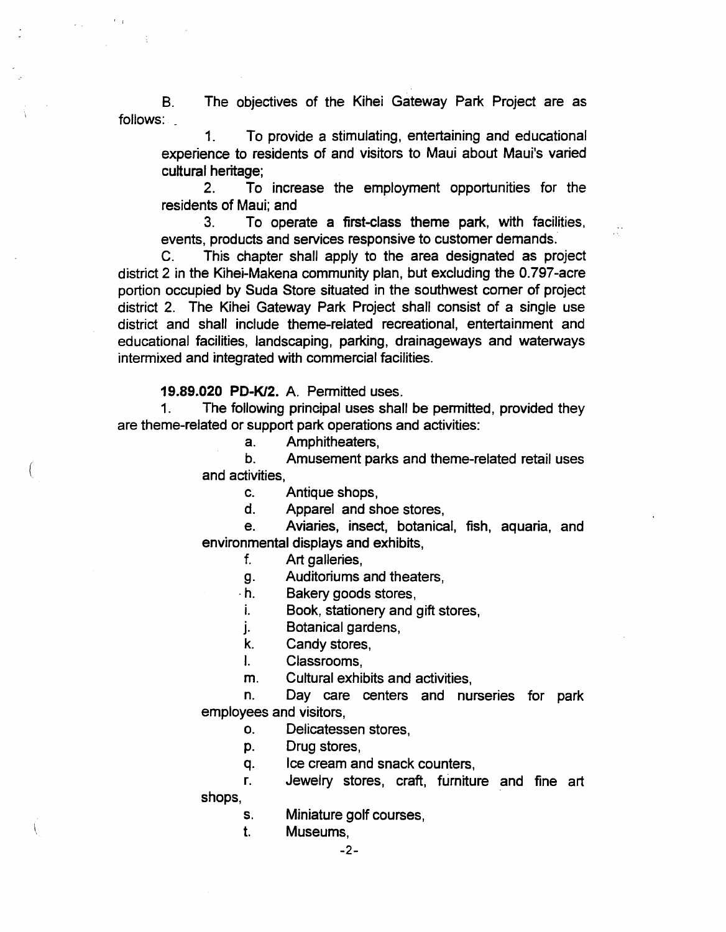B. follows: \_ The objectives of the Kihei Gateway Park Project are as

1. To provide a stimulating, entertaining and educational experience to residents of and visitors to Maui about Maui's varied cultural heritage;

2. To increase the employment opportunities for the residents of Maui; and

3. To operate a first-class theme park, with facilities, events, products and services responsive to customer demands.

C. This chapter shall apply to the area designated as project district 2 in the Kihei-Makena community plan, but excluding the O.797-acre portion occupied by Suda Store situated in the southwest comer of project district 2. The Kihei Gateway Park Project shall consist of a single use district and shall include theme-related recreational, entertainment and educational facilities, landscaping, parking, drainageways and waterways intermixed and integrated with commercial facilities.

19.89.020 PD-K/2. A. Permitted uses.

1. The following principal uses shall be permitted, provided they are theme-related or support park operations and activities:

a. Amphitheaters,

b. Amusement parks and theme-related retail uses and activities,

c. Antique shops,

d. Apparel and shoe stores,

e. Aviaries, insect, botanical, fish, aquaria, and environmental displays and exhibits,

- f. Art galleries,
- g. Auditoriums and theaters,
- .h. Bakery goods stores,
- i. Book, stationery and gift stores,
- j. Botanical gardens,
- k. Candy stores,
- I. Classrooms,
- m. Cultural exhibits and activities,

n. Day care centers and nurseries for park employees and visitors,

- o. Delicatessen stores,
- p. Drug stores,
- q. Ice cream and snack counters,

r. Jewelry stores, craft, furniture and fine art shops,

- Miniature golf courses, s.
	- Museums,

1.

-2-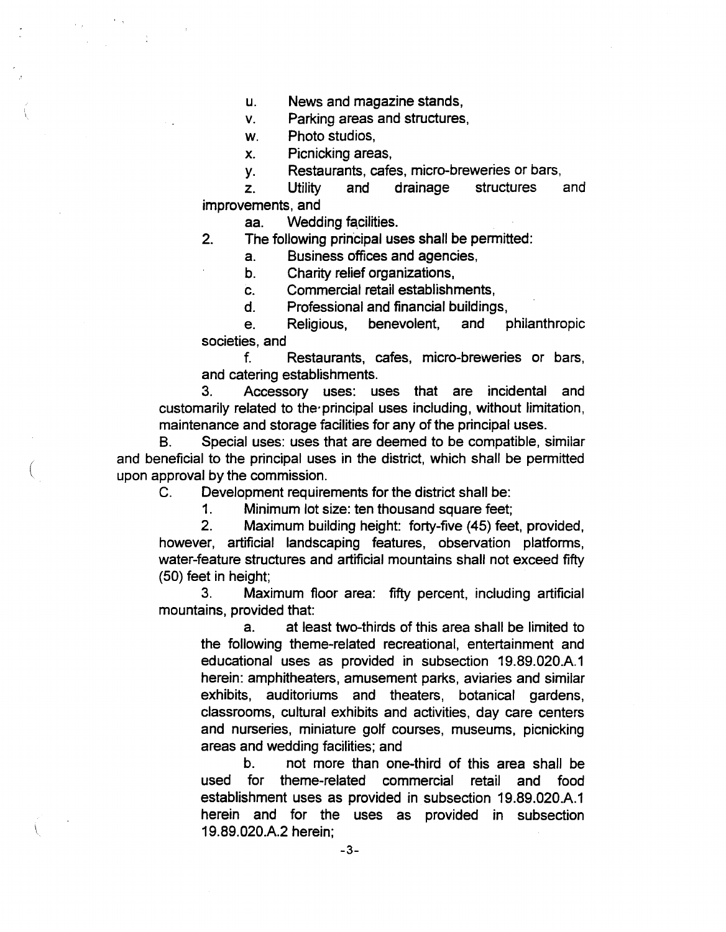u. News and magazine stands,

v. Parking areas and structures,

w. Photo studios,

x. Picnicking areas,

y. Restaurants, cafes, micro-breweries or bars,

z. Utility and drainage structures and improvements, and

aa. Wedding facilities.

2. The following principal uses shall be permitted:

a. Business offices and agencies,

b. Charity relief organizations,

c. Commercial retail establishments,

d. Professional and financial buildings,

e. Religious, benevolent, and philanthropic societies, and

f. Restaurants, cafes, micro-breweries or bars, and catering establishments.

3. Accessory uses: uses that are incidental and customarily related to the'principal uses including, without limitation, maintenance and storage facilities for any of the principal uses.

B. Special uses: uses that are deemed to be compatible, similar and beneficial to the principal uses in the district, which shall be permitted upon approval by the commission.

C. Development requirements for the district shall be:

(

1. Minimum lot size: ten thousand square feet;

2. Maximum building height: forty-five (45) feet, provided, however, artificial landscaping features, observation platforms, water-feature structures and artificial mountains shall not exceed fifty (50) feet in height;

3. Maximum floor area: fifty percent, including artificial mountains, provided that:

a. at least two-thirds of this area shall be limited to the following theme-related recreational, entertainment and educational uses as provided in subsection 19.89.020.A.1 herein: amphitheaters, amusement parks, aviaries and similar exhibits, auditoriums and theaters, botanical gardens, classrooms, cultural exhibits and activities, day care centers and nurseries, miniature golf courses, museums, picnicking areas and wedding facilities; and

b. not more than one-third of this area shall be used for theme-related commercial retail and food establishment uses as provided in subsection 19.89.020.A.1 herein and for the uses as provided in subsection 19.89.020.A.2 herein;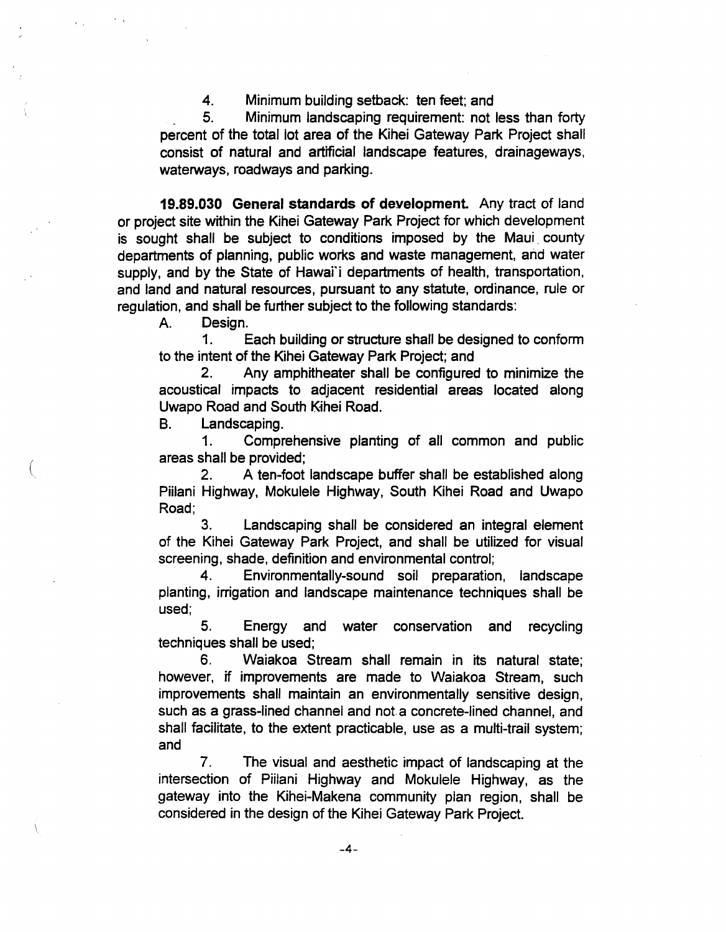4. Minimum building setback: ten feet; and

\_ 5. Minimum landscaping requirement: not less than forty percent of the total lot area of the Kihei Gateway Park Project shall consist of natural and artificial landscape features, drainageways, waterways, roadways and parking.

19.89.030 General standards of development. Any tract of land or project site within the Kihei Gateway Park Project for which development is sought shall be subject to conditions imposed by the Maui county departments of planning, public works and waste management, and water supply, and by the State of Hawai'i departments of health, transportation, and land and natural resources, pursuant to any statute, ordinance, rule or regulation, and shall be further subject to the following standards:

A. Design.

1. Each building or structure shall be designed to conform to the intent of the Kihei Gateway Park Project; and

2. Any amphitheater shall be configured to minimize the acoustical impacts to adjacent residential areas located along Uwapo Road and South Kihei Road.

B. Landscaping.

(

1. Comprehensive planting of all common and public areas shall be provided;

2. A ten-foot landscape buffer shall be established along Piilani Highway, Mokulele Highway, South Kihei Road and Uwapo Road;

3. Landscaping shall be considered an integral element of the Kihei Gateway Park Project, and shall be utilized for visual screening, shade, definition and environmental control;

4. Environmentally-sound soil preparation, landscape planting, irrigation and landscape maintenance techniques shall be used;

5. Energy and water conservation and recycling techniques shall be used;

6. Waiakoa Stream shall remain in its natural state; however, if improvements are made to Waiakoa Stream, such improvements shall maintain an environmentally sensitive design, such as a grass-lined channel and not a concrete-lined channel, and shall facilitate, to the extent practicable, use as a multi-trail system; and

7. The visual and aesthetic impact of landscaping at the intersection of Piilani Highway and Mokulele Highway, as the gateway into the Kihei-Makena community plan region, shall be considered in the design of the Kihei Gateway Park Project.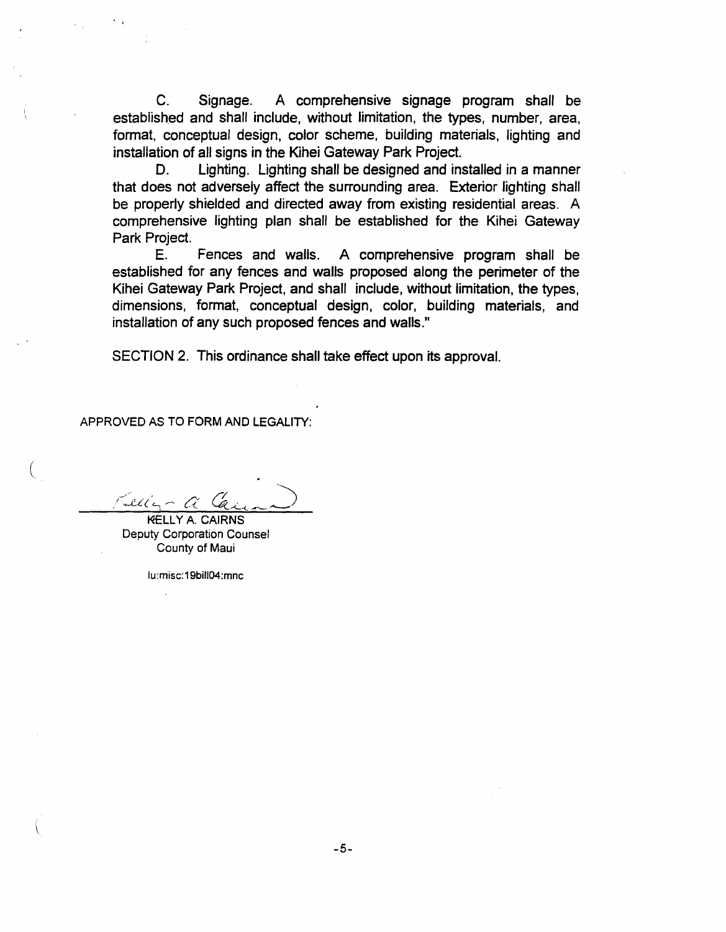C. Signage. A comprehensive signage program shall be established and shall include, without limitation, the types, number, area, format, conceptual design, color scheme, building materials, lighting and installation of all signs in the Kihei Gateway Park Project.

D. Lighting. Lighting shall be designed and installed in a manner that does not adversely affect the surrounding area. Exterior lighting shall be properly shielded and directed away from existing residential areas. A comprehensive lighting plan shall be established for the Kihei Gateway Park Project.

E. Fences and walls. A comprehensive program shall be established for any fences and walls proposed along the perimeter of the Kihei Gateway Park Project, and shall include, without limitation, the types, dimensions, format, conceptual design, color, building materials, and installation of any such proposed fences and walls."

SECTION 2. This ordinance shall take effect upon its approval.

APPROVED AS TO FORM AND LEGALITY:

**KELLY A. CAIRNS** 

(

Deputy Corporation Counsel County of Maui

lu:misc: 19bifl04:mnc